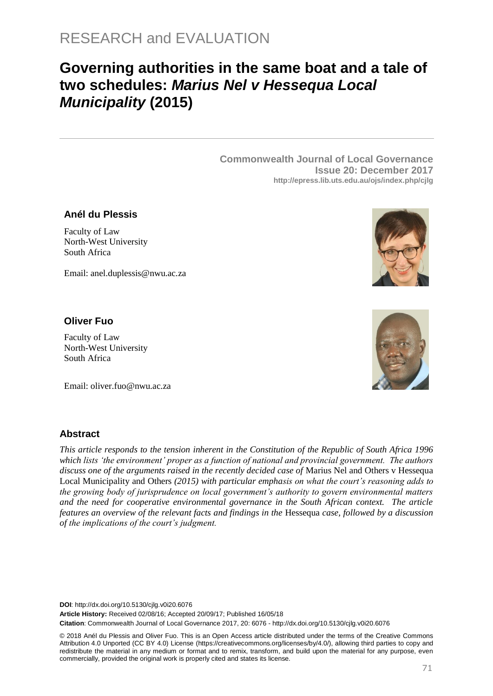# **Governing authorities in the same boat and a tale of two schedules:** *Marius Nel v Hessequa Local Municipality* **(2015)**

**Commonwealth Journal of Local Governance Issue 20: December 2017 http://epress.lib.uts.edu.au/ojs/index.php/cjlg**

# **Anél du Plessis**

Faculty of Law North-West University South Africa

Email: anel.duplessis@nwu.ac.za

# **Oliver Fuo**

Faculty of Law North-West University South Africa

Email: oliver.fuo@nwu.ac.za

## **Abstract**

*This article responds to the tension inherent in the Constitution of the Republic of South Africa 1996 which lists 'the environment' proper as a function of national and provincial government. The authors discuss one of the arguments raised in the recently decided case of* Marius Nel and Others v Hessequa Local Municipality and Others *(2015) with particular emphasis on what the court's reasoning adds to the growing body of jurisprudence on local government's authority to govern environmental matters and the need for cooperative environmental governance in the South African context. The article features an overview of the relevant facts and findings in the* Hessequa *case, followed by a discussion of the implications of the court's judgment.*

**DOI**[: http://dx.doi.org/10.5130/cjlg.v0i20.6076](http://dx.doi.org/10.5130/cjlg.v0i20.6076)

**Article History:** Received 02/08/16; Accepted 20/09/17; Published 16/05/18

**Citation**: Commonwealth Journal of Local Governance 2017, 20: 6076 - http://dx.doi.org/10.5130/cjlg.v0i20.6076

© 2018 Anél du Plessis and Oliver Fuo. This is an Open Access article distributed under the terms of the Creative Commons Attribution 4.0 Unported (CC BY 4.0) License [\(https://creativecommons.org/licenses/by/4.0/\)](https://creativecommons.org/licenses/by/4.0/), allowing third parties to copy and redistribute the material in any medium or format and to remix, transform, and build upon the material for any purpose, even commercially, provided the original work is properly cited and states its license.

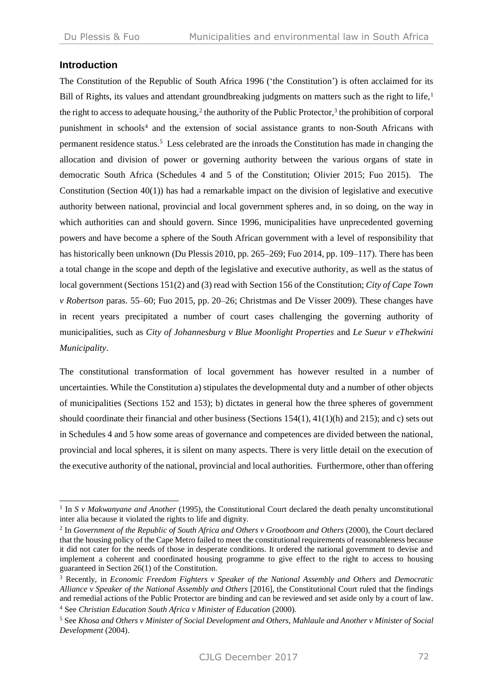## **Introduction**

-

The Constitution of the Republic of South Africa 1996 ('the Constitution') is often acclaimed for its Bill of Rights, its values and attendant groundbreaking judgments on matters such as the right to life, $<sup>1</sup>$ </sup> the right to access to adequate housing,<sup>2</sup> the authority of the Public Protector,<sup>3</sup> the prohibition of corporal punishment in schools<sup>4</sup> and the extension of social assistance grants to non-South Africans with permanent residence status.<sup>5</sup> Less celebrated are the inroads the Constitution has made in changing the allocation and division of power or governing authority between the various organs of state in democratic South Africa (Schedules 4 and 5 of the Constitution; Olivier 2015; Fuo 2015). The Constitution (Section 40(1)) has had a remarkable impact on the division of legislative and executive authority between national, provincial and local government spheres and, in so doing, on the way in which authorities can and should govern. Since 1996, municipalities have unprecedented governing powers and have become a sphere of the South African government with a level of responsibility that has historically been unknown (Du Plessis 2010, pp. 265–269; Fuo 2014, pp. 109–117). There has been a total change in the scope and depth of the legislative and executive authority, as well as the status of local government (Sections 151(2) and (3) read with Section 156 of the Constitution; *City of Cape Town v Robertson* paras. 55–60; Fuo 2015, pp. 20–26; Christmas and De Visser 2009). These changes have in recent years precipitated a number of court cases challenging the governing authority of municipalities, such as *City of Johannesburg v Blue Moonlight Properties* and *Le Sueur v eThekwini Municipality*.

The constitutional transformation of local government has however resulted in a number of uncertainties. While the Constitution a) stipulates the developmental duty and a number of other objects of municipalities (Sections 152 and 153); b) dictates in general how the three spheres of government should coordinate their financial and other business (Sections 154(1), 41(1)(h) and 215); and c) sets out in Schedules 4 and 5 how some areas of governance and competences are divided between the national, provincial and local spheres, it is silent on many aspects. There is very little detail on the execution of the executive authority of the national, provincial and local authorities. Furthermore, other than offering

<sup>&</sup>lt;sup>1</sup> In *S v Makwanyane and Another* (1995), the Constitutional Court declared the death penalty unconstitutional inter alia because it violated the rights to life and dignity.

<sup>2</sup> In *Government of the Republic of South Africa and Others v Grootboom and Others* (2000), the Court declared that the housing policy of the Cape Metro failed to meet the constitutional requirements of reasonableness because it did not cater for the needs of those in desperate conditions. It ordered the national government to devise and implement a coherent and coordinated housing programme to give effect to the right to access to housing guaranteed in Section 26(1) of the Constitution.

<sup>3</sup> Recently, in *Economic Freedom Fighters v Speaker of the National Assembly and Others* and *Democratic Alliance v Speaker of the National Assembly and Others* [2016], the Constitutional Court ruled that the findings and remedial actions of the Public Protector are binding and can be reviewed and set aside only by a court of law. <sup>4</sup> See *Christian Education South Africa v Minister of Education* (2000).

<sup>5</sup> See *Khosa and Others v Minister of Social Development and Others*, *Mahlaule and Another v Minister of Social Development* (2004).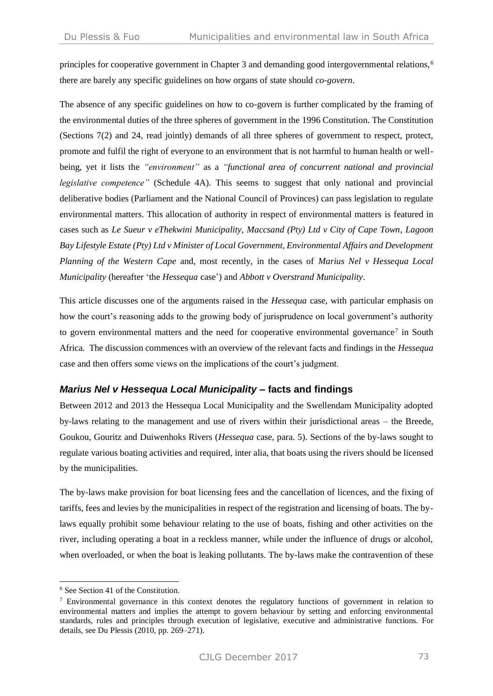principles for cooperative government in Chapter 3 and demanding good intergovernmental relations,<sup>6</sup> there are barely any specific guidelines on how organs of state should *co-govern*.

The absence of any specific guidelines on how to co-govern is further complicated by the framing of the environmental duties of the three spheres of government in the 1996 Constitution. The Constitution (Sections 7(2) and 24, read jointly) demands of all three spheres of government to respect, protect, promote and fulfil the right of everyone to an environment that is not harmful to human health or wellbeing, yet it lists the *"environment"* as a *"functional area of concurrent national and provincial legislative competence*" (Schedule 4A). This seems to suggest that only national and provincial deliberative bodies (Parliament and the National Council of Provinces) can pass legislation to regulate environmental matters. This allocation of authority in respect of environmental matters is featured in cases such as *Le Sueur v eThekwini Municipality*, *Maccsand (Pty) Ltd v City of Cape Town*, *Lagoon Bay Lifestyle Estate (Pty) Ltd v Minister of Local Government, Environmental Affairs and Development Planning of the Western Cape* and, most recently, in the cases of *Marius Nel v Hessequa Local Municipality* (hereafter 'the *Hessequa* case') and *Abbott v Overstrand Municipality*.

This article discusses one of the arguments raised in the *Hessequa* case, with particular emphasis on how the court's reasoning adds to the growing body of jurisprudence on local government's authority to govern environmental matters and the need for cooperative environmental governance<sup>7</sup> in South Africa. The discussion commences with an overview of the relevant facts and findings in the *Hessequa* case and then offers some views on the implications of the court's judgment.

# *Marius Nel v Hessequa Local Municipality* **– facts and findings**

Between 2012 and 2013 the Hessequa Local Municipality and the Swellendam Municipality adopted by-laws relating to the management and use of rivers within their jurisdictional areas – the Breede, Goukou, Gouritz and Duiwenhoks Rivers (*Hessequa* case, para. 5). Sections of the by-laws sought to regulate various boating activities and required, inter alia, that boats using the rivers should be licensed by the municipalities.

The by-laws make provision for boat licensing fees and the cancellation of licences, and the fixing of tariffs, fees and levies by the municipalities in respect of the registration and licensing of boats. The bylaws equally prohibit some behaviour relating to the use of boats, fishing and other activities on the river, including operating a boat in a reckless manner, while under the influence of drugs or alcohol, when overloaded, or when the boat is leaking pollutants. The by-laws make the contravention of these

 $\overline{a}$ 

<sup>6</sup> See Section 41 of the Constitution.

 $\frac{7}{10}$  Environmental governance in this context denotes the regulatory functions of government in relation to environmental matters and implies the attempt to govern behaviour by setting and enforcing environmental standards, rules and principles through execution of legislative, executive and administrative functions. For details, see Du Plessis (2010, pp. 269–271).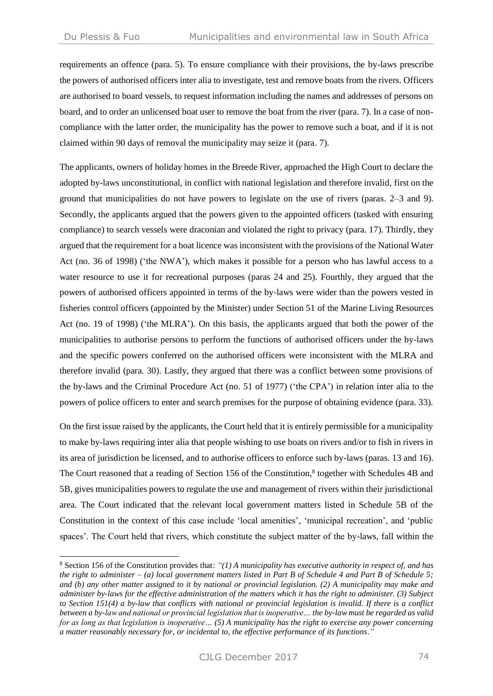-

requirements an offence (para. 5). To ensure compliance with their provisions, the by-laws prescribe the powers of authorised officers inter alia to investigate, test and remove boats from the rivers. Officers are authorised to board vessels, to request information including the names and addresses of persons on board, and to order an unlicensed boat user to remove the boat from the river (para. 7). In a case of noncompliance with the latter order, the municipality has the power to remove such a boat, and if it is not claimed within 90 days of removal the municipality may seize it (para. 7).

The applicants, owners of holiday homes in the Breede River, approached the High Court to declare the adopted by-laws unconstitutional, in conflict with national legislation and therefore invalid, first on the ground that municipalities do not have powers to legislate on the use of rivers (paras. 2–3 and 9). Secondly, the applicants argued that the powers given to the appointed officers (tasked with ensuring compliance) to search vessels were draconian and violated the right to privacy (para. 17). Thirdly, they argued that the requirement for a boat licence was inconsistent with the provisions of the National Water Act (no. 36 of 1998) ('the NWA'), which makes it possible for a person who has lawful access to a water resource to use it for recreational purposes (paras 24 and 25). Fourthly, they argued that the powers of authorised officers appointed in terms of the by-laws were wider than the powers vested in fisheries control officers (appointed by the Minister) under Section 51 of the Marine Living Resources Act (no. 19 of 1998) ('the MLRA'). On this basis, the applicants argued that both the power of the municipalities to authorise persons to perform the functions of authorised officers under the by-laws and the specific powers conferred on the authorised officers were inconsistent with the MLRA and therefore invalid (para. 30). Lastly, they argued that there was a conflict between some provisions of the by-laws and the Criminal Procedure Act (no. 51 of 1977) ('the CPA') in relation inter alia to the powers of police officers to enter and search premises for the purpose of obtaining evidence (para. 33).

On the first issue raised by the applicants, the Court held that it is entirely permissible for a municipality to make by-laws requiring inter alia that people wishing to use boats on rivers and/or to fish in rivers in its area of jurisdiction be licensed, and to authorise officers to enforce such by-laws (paras. 13 and 16). The Court reasoned that a reading of Section 156 of the Constitution,<sup>8</sup> together with Schedules 4B and 5B, gives municipalities powers to regulate the use and management of rivers within their jurisdictional area. The Court indicated that the relevant local government matters listed in Schedule 5B of the Constitution in the context of this case include 'local amenities', 'municipal recreation', and 'public spaces'. The Court held that rivers, which constitute the subject matter of the by-laws, fall within the

<sup>8</sup> Section 156 of the Constitution provides that: *"(1) A municipality has executive authority in respect of, and has the right to administer – (a) local government matters listed in Part B of Schedule 4 and Part B of Schedule 5; and (b) any other matter assigned to it by national or provincial legislation. (2) A municipality may make and administer by-laws for the effective administration of the matters which it has the right to administer. (3) Subject to Section 151(4) a by-law that conflicts with national or provincial legislation is invalid. If there is a conflict between a by-law and national or provincial legislation that is inoperative… the by-law must be regarded as valid for as long as that legislation is inoperative… (5) A municipality has the right to exercise any power concerning a matter reasonably necessary for, or incidental to, the effective performance of its functions*.*"*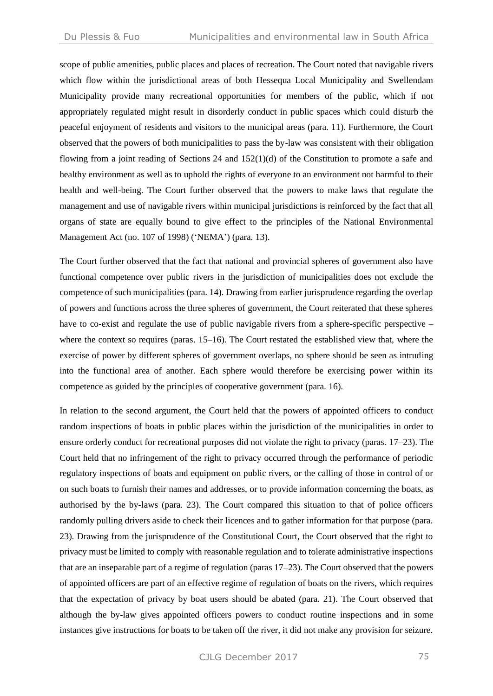scope of public amenities, public places and places of recreation. The Court noted that navigable rivers which flow within the jurisdictional areas of both Hessequa Local Municipality and Swellendam Municipality provide many recreational opportunities for members of the public, which if not appropriately regulated might result in disorderly conduct in public spaces which could disturb the peaceful enjoyment of residents and visitors to the municipal areas (para. 11). Furthermore, the Court observed that the powers of both municipalities to pass the by-law was consistent with their obligation flowing from a joint reading of Sections 24 and  $152(1)(d)$  of the Constitution to promote a safe and healthy environment as well as to uphold the rights of everyone to an environment not harmful to their health and well-being. The Court further observed that the powers to make laws that regulate the management and use of navigable rivers within municipal jurisdictions is reinforced by the fact that all organs of state are equally bound to give effect to the principles of the National Environmental Management Act (no. 107 of 1998) ('NEMA') (para. 13).

The Court further observed that the fact that national and provincial spheres of government also have functional competence over public rivers in the jurisdiction of municipalities does not exclude the competence of such municipalities (para. 14). Drawing from earlier jurisprudence regarding the overlap of powers and functions across the three spheres of government, the Court reiterated that these spheres have to co-exist and regulate the use of public navigable rivers from a sphere-specific perspective – where the context so requires (paras. 15–16). The Court restated the established view that, where the exercise of power by different spheres of government overlaps, no sphere should be seen as intruding into the functional area of another. Each sphere would therefore be exercising power within its competence as guided by the principles of cooperative government (para. 16).

In relation to the second argument, the Court held that the powers of appointed officers to conduct random inspections of boats in public places within the jurisdiction of the municipalities in order to ensure orderly conduct for recreational purposes did not violate the right to privacy (paras. 17–23). The Court held that no infringement of the right to privacy occurred through the performance of periodic regulatory inspections of boats and equipment on public rivers, or the calling of those in control of or on such boats to furnish their names and addresses, or to provide information concerning the boats, as authorised by the by-laws (para. 23). The Court compared this situation to that of police officers randomly pulling drivers aside to check their licences and to gather information for that purpose (para. 23). Drawing from the jurisprudence of the Constitutional Court, the Court observed that the right to privacy must be limited to comply with reasonable regulation and to tolerate administrative inspections that are an inseparable part of a regime of regulation (paras 17–23). The Court observed that the powers of appointed officers are part of an effective regime of regulation of boats on the rivers, which requires that the expectation of privacy by boat users should be abated (para. 21). The Court observed that although the by-law gives appointed officers powers to conduct routine inspections and in some instances give instructions for boats to be taken off the river, it did not make any provision for seizure.

CJLG December 2017 75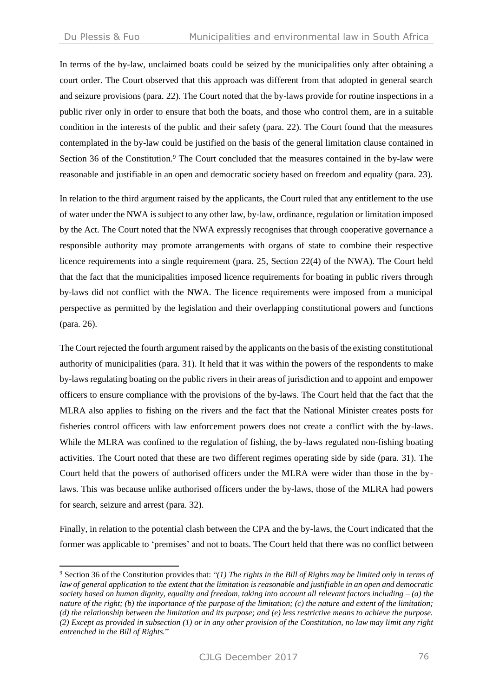-

In terms of the by-law, unclaimed boats could be seized by the municipalities only after obtaining a court order. The Court observed that this approach was different from that adopted in general search and seizure provisions (para. 22). The Court noted that the by-laws provide for routine inspections in a public river only in order to ensure that both the boats, and those who control them, are in a suitable condition in the interests of the public and their safety (para. 22). The Court found that the measures contemplated in the by-law could be justified on the basis of the general limitation clause contained in Section 36 of the Constitution.<sup>9</sup> The Court concluded that the measures contained in the by-law were reasonable and justifiable in an open and democratic society based on freedom and equality (para. 23).

In relation to the third argument raised by the applicants, the Court ruled that any entitlement to the use of water under the NWA is subject to any other law, by-law, ordinance, regulation or limitation imposed by the Act. The Court noted that the NWA expressly recognises that through cooperative governance a responsible authority may promote arrangements with organs of state to combine their respective licence requirements into a single requirement (para. 25, Section 22(4) of the NWA). The Court held that the fact that the municipalities imposed licence requirements for boating in public rivers through by-laws did not conflict with the NWA. The licence requirements were imposed from a municipal perspective as permitted by the legislation and their overlapping constitutional powers and functions (para. 26).

The Court rejected the fourth argument raised by the applicants on the basis of the existing constitutional authority of municipalities (para. 31). It held that it was within the powers of the respondents to make by-laws regulating boating on the public rivers in their areas of jurisdiction and to appoint and empower officers to ensure compliance with the provisions of the by-laws. The Court held that the fact that the MLRA also applies to fishing on the rivers and the fact that the National Minister creates posts for fisheries control officers with law enforcement powers does not create a conflict with the by-laws. While the MLRA was confined to the regulation of fishing, the by-laws regulated non-fishing boating activities. The Court noted that these are two different regimes operating side by side (para. 31). The Court held that the powers of authorised officers under the MLRA were wider than those in the bylaws. This was because unlike authorised officers under the by-laws, those of the MLRA had powers for search, seizure and arrest (para. 32).

Finally, in relation to the potential clash between the CPA and the by-laws, the Court indicated that the former was applicable to 'premises' and not to boats. The Court held that there was no conflict between

<sup>9</sup> Section 36 of the Constitution provides that: "*(1) The rights in the Bill of Rights may be limited only in terms of law of general application to the extent that the limitation is reasonable and justifiable in an open and democratic society based on human dignity, equality and freedom, taking into account all relevant factors including – (a) the nature of the right; (b) the importance of the purpose of the limitation; (c) the nature and extent of the limitation; (d) the relationship between the limitation and its purpose; and (e) less restrictive means to achieve the purpose.* 

*<sup>(2)</sup> Except as provided in subsection (1) or in any other provision of the Constitution, no law may limit any right entrenched in the Bill of Rights.*"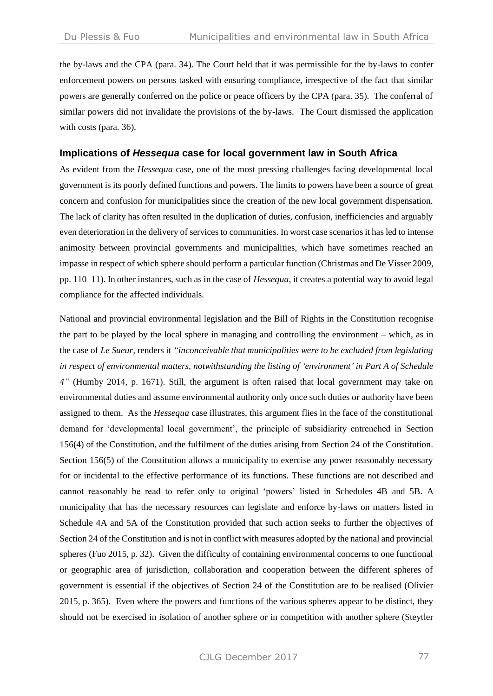the by-laws and the CPA (para. 34). The Court held that it was permissible for the by-laws to confer enforcement powers on persons tasked with ensuring compliance, irrespective of the fact that similar powers are generally conferred on the police or peace officers by the CPA (para. 35). The conferral of similar powers did not invalidate the provisions of the by-laws. The Court dismissed the application with costs (para. 36).

#### **Implications of** *Hessequa* **case for local government law in South Africa**

As evident from the *Hessequa* case, one of the most pressing challenges facing developmental local government is its poorly defined functions and powers. The limits to powers have been a source of great concern and confusion for municipalities since the creation of the new local government dispensation. The lack of clarity has often resulted in the duplication of duties, confusion, inefficiencies and arguably even deterioration in the delivery of services to communities. In worst case scenarios it has led to intense animosity between provincial governments and municipalities, which have sometimes reached an impasse in respect of which sphere should perform a particular function (Christmas and De Visser 2009, pp. 110–11). In other instances, such as in the case of *Hessequa*, it creates a potential way to avoid legal compliance for the affected individuals.

National and provincial environmental legislation and the Bill of Rights in the Constitution recognise the part to be played by the local sphere in managing and controlling the environment – which, as in the case of *Le Sueur*, renders it *"inconceivable that municipalities were to be excluded from legislating in respect of environmental matters, notwithstanding the listing of 'environment' in Part A of Schedule 4"* (Humby 2014, p. 1671). Still, the argument is often raised that local government may take on environmental duties and assume environmental authority only once such duties or authority have been assigned to them. As the *Hessequa* case illustrates, this argument flies in the face of the constitutional demand for 'developmental local government', the principle of subsidiarity entrenched in Section 156(4) of the Constitution, and the fulfilment of the duties arising from Section 24 of the Constitution. Section 156(5) of the Constitution allows a municipality to exercise any power reasonably necessary for or incidental to the effective performance of its functions. These functions are not described and cannot reasonably be read to refer only to original 'powers' listed in Schedules 4B and 5B. A municipality that has the necessary resources can legislate and enforce by-laws on matters listed in Schedule 4A and 5A of the Constitution provided that such action seeks to further the objectives of Section 24 of the Constitution and is not in conflict with measures adopted by the national and provincial spheres (Fuo 2015, p. 32). Given the difficulty of containing environmental concerns to one functional or geographic area of jurisdiction, collaboration and cooperation between the different spheres of government is essential if the objectives of Section 24 of the Constitution are to be realised (Olivier 2015, p. 365). Even where the powers and functions of the various spheres appear to be distinct, they should not be exercised in isolation of another sphere or in competition with another sphere (Steytler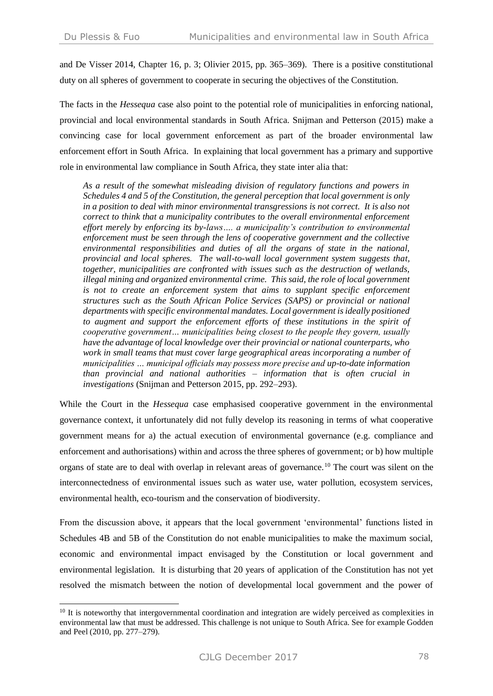$\overline{a}$ 

and De Visser 2014, Chapter 16, p. 3; Olivier 2015, pp. 365–369). There is a positive constitutional duty on all spheres of government to cooperate in securing the objectives of the Constitution.

The facts in the *Hessequa* case also point to the potential role of municipalities in enforcing national, provincial and local environmental standards in South Africa. Snijman and Petterson (2015) make a convincing case for local government enforcement as part of the broader environmental law enforcement effort in South Africa. In explaining that local government has a primary and supportive role in environmental law compliance in South Africa, they state inter alia that:

*As a result of the somewhat misleading division of regulatory functions and powers in Schedules 4 and 5 of the Constitution, the general perception that local government is only in a position to deal with minor environmental transgressions is not correct. It is also not correct to think that a municipality contributes to the overall environmental enforcement effort merely by enforcing its by-laws…. a municipality's contribution to environmental enforcement must be seen through the lens of cooperative government and the collective environmental responsibilities and duties of all the organs of state in the national, provincial and local spheres. The wall-to-wall local government system suggests that, together, municipalities are confronted with issues such as the destruction of wetlands, illegal mining and organized environmental crime. This said, the role of local government*  is not to create an enforcement system that aims to supplant specific enforcement *structures such as the South African Police Services (SAPS) or provincial or national departments with specific environmental mandates. Local government is ideally positioned to augment and support the enforcement efforts of these institutions in the spirit of cooperative government… municipalities being closest to the people they govern, usually have the advantage of local knowledge over their provincial or national counterparts, who work in small teams that must cover large geographical areas incorporating a number of municipalities … municipal officials may possess more precise and up-to-date information than provincial and national authorities – information that is often crucial in investigations* (Snijman and Petterson 2015, pp. 292–293).

While the Court in the *Hessequa* case emphasised cooperative government in the environmental governance context, it unfortunately did not fully develop its reasoning in terms of what cooperative government means for a) the actual execution of environmental governance (e.g. compliance and enforcement and authorisations) within and across the three spheres of government; or b) how multiple organs of state are to deal with overlap in relevant areas of governance.<sup>10</sup> The court was silent on the interconnectedness of environmental issues such as water use, water pollution, ecosystem services, environmental health, eco-tourism and the conservation of biodiversity.

From the discussion above, it appears that the local government 'environmental' functions listed in Schedules 4B and 5B of the Constitution do not enable municipalities to make the maximum social, economic and environmental impact envisaged by the Constitution or local government and environmental legislation. It is disturbing that 20 years of application of the Constitution has not yet resolved the mismatch between the notion of developmental local government and the power of

 $10$  It is noteworthy that intergovernmental coordination and integration are widely perceived as complexities in environmental law that must be addressed. This challenge is not unique to South Africa. See for example Godden and Peel (2010, pp. 277–279).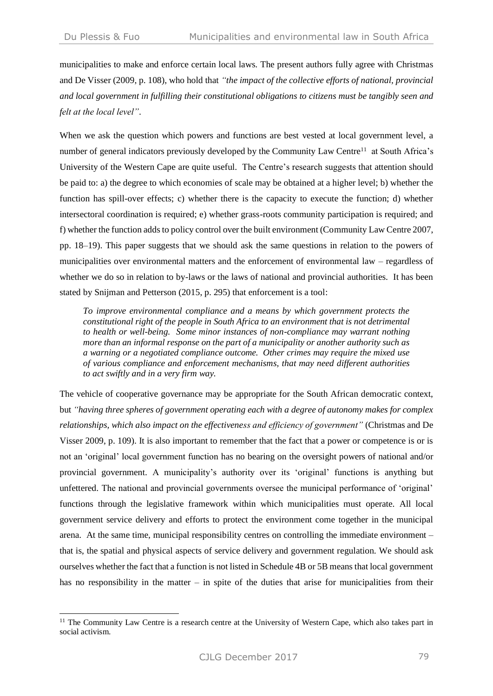-

municipalities to make and enforce certain local laws. The present authors fully agree with Christmas and De Visser (2009, p. 108), who hold that *"the impact of the collective efforts of national, provincial and local government in fulfilling their constitutional obligations to citizens must be tangibly seen and felt at the local level"*.

When we ask the question which powers and functions are best vested at local government level, a number of general indicators previously developed by the Community Law Centre<sup>11</sup> at South Africa's University of the Western Cape are quite useful. The Centre's research suggests that attention should be paid to: a) the degree to which economies of scale may be obtained at a higher level; b) whether the function has spill-over effects; c) whether there is the capacity to execute the function; d) whether intersectoral coordination is required; e) whether grass-roots community participation is required; and f) whether the function adds to policy control over the built environment (Community Law Centre 2007, pp. 18–19). This paper suggests that we should ask the same questions in relation to the powers of municipalities over environmental matters and the enforcement of environmental law – regardless of whether we do so in relation to by-laws or the laws of national and provincial authorities. It has been stated by Snijman and Petterson (2015, p. 295) that enforcement is a tool:

*To improve environmental compliance and a means by which government protects the constitutional right of the people in South Africa to an environment that is not detrimental to health or well-being. Some minor instances of non-compliance may warrant nothing more than an informal response on the part of a municipality or another authority such as a warning or a negotiated compliance outcome. Other crimes may require the mixed use of various compliance and enforcement mechanisms, that may need different authorities to act swiftly and in a very firm way.*

The vehicle of cooperative governance may be appropriate for the South African democratic context, but *"having three spheres of government operating each with a degree of autonomy makes for complex relationships, which also impact on the effectiveness and efficiency of government"* (Christmas and De Visser 2009, p. 109). It is also important to remember that the fact that a power or competence is or is not an 'original' local government function has no bearing on the oversight powers of national and/or provincial government. A municipality's authority over its 'original' functions is anything but unfettered. The national and provincial governments oversee the municipal performance of 'original' functions through the legislative framework within which municipalities must operate. All local government service delivery and efforts to protect the environment come together in the municipal arena. At the same time, municipal responsibility centres on controlling the immediate environment – that is, the spatial and physical aspects of service delivery and government regulation. We should ask ourselves whether the fact that a function is not listed in Schedule 4B or 5B means that local government has no responsibility in the matter – in spite of the duties that arise for municipalities from their

<sup>&</sup>lt;sup>11</sup> The Community Law Centre is a research centre at the University of Western Cape, which also takes part in social activism.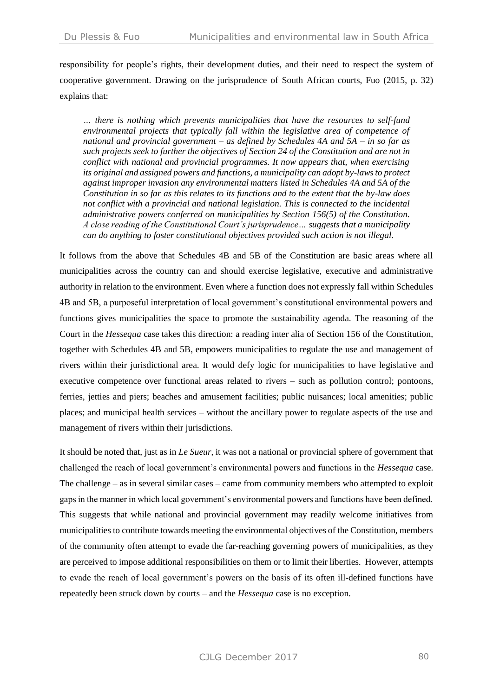responsibility for people's rights, their development duties, and their need to respect the system of cooperative government. Drawing on the jurisprudence of South African courts, Fuo (2015, p. 32) explains that:

*… there is nothing which prevents municipalities that have the resources to self-fund environmental projects that typically fall within the legislative area of competence of national and provincial government – as defined by Schedules 4A and 5A – in so far as such projects seek to further the objectives of Section 24 of the Constitution and are not in conflict with national and provincial programmes. It now appears that, when exercising its original and assigned powers and functions, a municipality can adopt by-laws to protect against improper invasion any environmental matters listed in Schedules 4A and 5A of the Constitution in so far as this relates to its functions and to the extent that the by-law does not conflict with a provincial and national legislation. This is connected to the incidental administrative powers conferred on municipalities by Section 156(5) of the Constitution. A close reading of the Constitutional Court's jurisprudence… suggests that a municipality can do anything to foster constitutional objectives provided such action is not illegal.*

It follows from the above that Schedules 4B and 5B of the Constitution are basic areas where all municipalities across the country can and should exercise legislative, executive and administrative authority in relation to the environment. Even where a function does not expressly fall within Schedules 4B and 5B, a purposeful interpretation of local government's constitutional environmental powers and functions gives municipalities the space to promote the sustainability agenda. The reasoning of the Court in the *Hessequa* case takes this direction: a reading inter alia of Section 156 of the Constitution, together with Schedules 4B and 5B, empowers municipalities to regulate the use and management of rivers within their jurisdictional area. It would defy logic for municipalities to have legislative and executive competence over functional areas related to rivers – such as pollution control; pontoons, ferries, jetties and piers; beaches and amusement facilities; public nuisances; local amenities; public places; and municipal health services – without the ancillary power to regulate aspects of the use and management of rivers within their jurisdictions.

It should be noted that, just as in *Le Sueur*, it was not a national or provincial sphere of government that challenged the reach of local government's environmental powers and functions in the *Hessequa* case. The challenge – as in several similar cases – came from community members who attempted to exploit gaps in the manner in which local government's environmental powers and functions have been defined. This suggests that while national and provincial government may readily welcome initiatives from municipalities to contribute towards meeting the environmental objectives of the Constitution, members of the community often attempt to evade the far-reaching governing powers of municipalities, as they are perceived to impose additional responsibilities on them or to limit their liberties. However, attempts to evade the reach of local government's powers on the basis of its often ill-defined functions have repeatedly been struck down by courts – and the *Hessequa* case is no exception.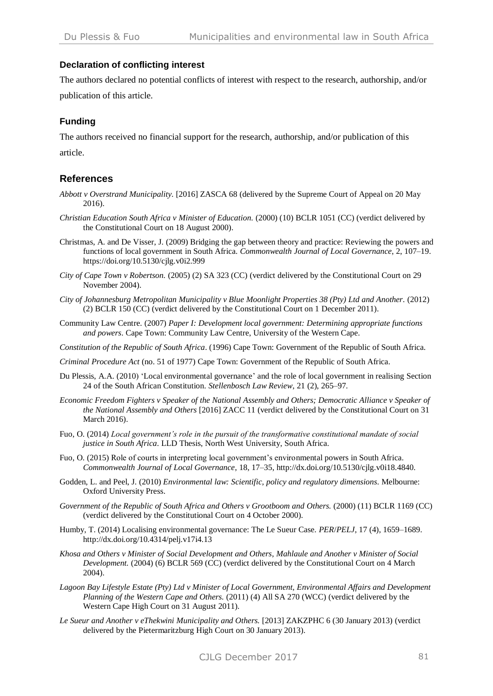#### **Declaration of conflicting interest**

The authors declared no potential conflicts of interest with respect to the research, authorship, and/or publication of this article.

## **Funding**

The authors received no financial support for the research, authorship, and/or publication of this article.

## **References**

- *Abbott v Overstrand Municipality.* [2016] ZASCA 68 (delivered by the Supreme Court of Appeal on 20 May 2016).
- *Christian Education South Africa v Minister of Education.* (2000) (10) BCLR 1051 (CC) (verdict delivered by the Constitutional Court on 18 August 2000).
- Christmas, A. and De Visser, J. (2009) Bridging the gap between theory and practice: Reviewing the powers and functions of local government in South Africa. *Commonwealth Journal of Local Governance*, 2, 107–19. <https://doi.org/10.5130/cjlg.v0i2.999>
- *City of Cape Town v Robertson.* (2005) (2) SA 323 (CC) (verdict delivered by the Constitutional Court on 29 November 2004).
- *City of Johannesburg Metropolitan Municipality v Blue Moonlight Properties 38 (Pty) Ltd and Another.* (2012) (2) BCLR 150 (CC) (verdict delivered by the Constitutional Court on 1 December 2011).
- Community Law Centre. (2007) *Paper I: Development local government: Determining appropriate functions and powers*. Cape Town: Community Law Centre, University of the Western Cape.
- *Constitution of the Republic of South Africa*. (1996) Cape Town: Government of the Republic of South Africa.
- *Criminal Procedure Act* (no. 51 of 1977) Cape Town: Government of the Republic of South Africa.
- Du Plessis, A.A. (2010) 'Local environmental governance' and the role of local government in realising Section 24 of the South African Constitution. *Stellenbosch Law Review*, 21 (2), 265–97.
- *Economic Freedom Fighters v Speaker of the National Assembly and Others; Democratic Alliance v Speaker of the National Assembly and Others* [2016] ZACC 11 (verdict delivered by the Constitutional Court on 31 March 2016).
- Fuo, O. (2014) *Local government's role in the pursuit of the transformative constitutional mandate of social justice in South Africa*. LLD Thesis, North West University, South Africa.
- Fuo, O. (2015) Role of courts in interpreting local government's environmental powers in South Africa. *Commonwealth Journal of Local Governance*, 18, 17–35, http://dx.doi.org/10.5130/cjlg.v0i18.4840.
- Godden, L. and Peel, J. (2010) *Environmental law: Scientific, policy and regulatory dimensions*. Melbourne: Oxford University Press.
- *Government of the Republic of South Africa and Others v Grootboom and Others.* (2000) (11) BCLR 1169 (CC) (verdict delivered by the Constitutional Court on 4 October 2000).
- Humby, T. (2014) Localising environmental governance: The Le Sueur Case. *PER*/*PELJ*, 17 (4), 1659–1689. http://dx.doi.org/10.4314/pelj.v17i4.13
- *Khosa and Others v Minister of Social Development and Others*, *Mahlaule and Another v Minister of Social Development.* (2004) (6) BCLR 569 (CC) (verdict delivered by the Constitutional Court on 4 March 2004).
- *Lagoon Bay Lifestyle Estate (Pty) Ltd v Minister of Local Government, Environmental Affairs and Development Planning of the Western Cape and Others.* (2011) (4) All SA 270 (WCC) (verdict delivered by the Western Cape High Court on 31 August 2011).
- *Le Sueur and Another v eThekwini Municipality and Others.* [2013] ZAKZPHC 6 (30 January 2013) (verdict delivered by the Pietermaritzburg High Court on 30 January 2013).